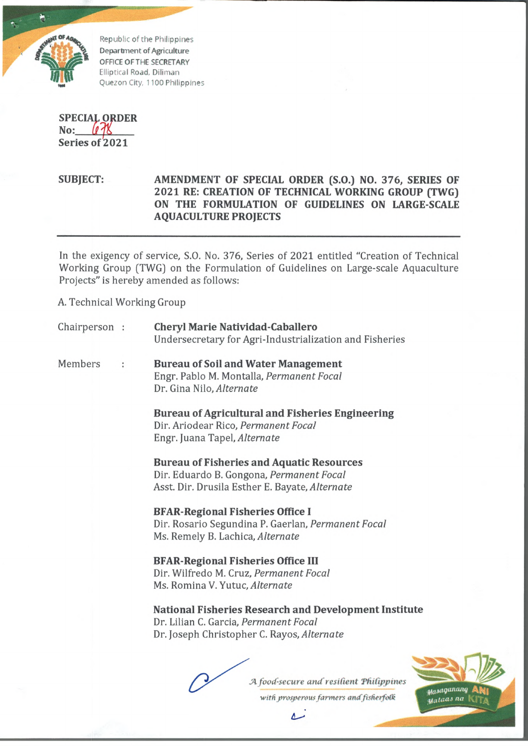

Republic of the Philippines Department of Agriculture OFFICE OF THE SECRETARY Elliptical Road, Diiiman Quezon City, 1100 Philippines

**SPECIAL ORDER No:\_\_\_\_***(\$^1* **Series of 2021**

**SUBJECT: AMENDMENT OF SPECIAL ORDER (S.O.) NO. 376, SERIES OF 2021 RE: CREATION OF TECHNICAL WORKING GROUP (TWG) ON THE FORMULATION OF GUIDELINES ON LARGE-SCALE AQUACULTURE PROJECTS**

In the exigency of service, S.O. No. 376, Series of 2021 entitled "Creation of Technical Working Group (TWG) on the Formulation of Guidelines on Large-scale Aquaculture Projects" is hereby amended as follows:

A. Technical Working Group

| Chairperson : |  | <b>Cheryl Marie Natividad-Caballero</b><br>Undersecretary for Agri-Industrialization and Fisheries                                                  |
|---------------|--|-----------------------------------------------------------------------------------------------------------------------------------------------------|
| Members       |  | <b>Bureau of Soil and Water Management</b><br>Engr. Pablo M. Montalla, Permanent Focal<br>Dr. Gina Nilo, Alternate                                  |
|               |  | <b>Bureau of Agricultural and Fisheries Engineering</b><br>Dir. Ariodear Rico, Permanent Focal<br>Engr. Juana Tapel, Alternate                      |
|               |  | <b>Bureau of Fisheries and Aquatic Resources</b><br>Dir. Eduardo B. Gongona, Permanent Focal<br>Asst. Dir. Drusila Esther E. Bayate, Alternate      |
|               |  | <b>BFAR-Regional Fisheries Office I</b><br>Dir. Rosario Segundina P. Gaerlan, Permanent Focal<br>Ms. Remely B. Lachica, Alternate                   |
|               |  | <b>BFAR-Regional Fisheries Office III</b><br>Dir. Wilfredo M. Cruz, Permanent Focal<br>Ms. Romina V. Yutuc, Alternate                               |
|               |  | <b>National Fisheries Research and Development Institute</b><br>Dr. Lilian C. Garcia, Permanent Focal<br>Dr. Joseph Christopher C. Rayos, Alternate |
|               |  | A food-secure and resilient Philippines                                                                                                             |

with prosperous farmers and fisherfolk

مسلم

Masaganang u<sub>ataas na</sub> l